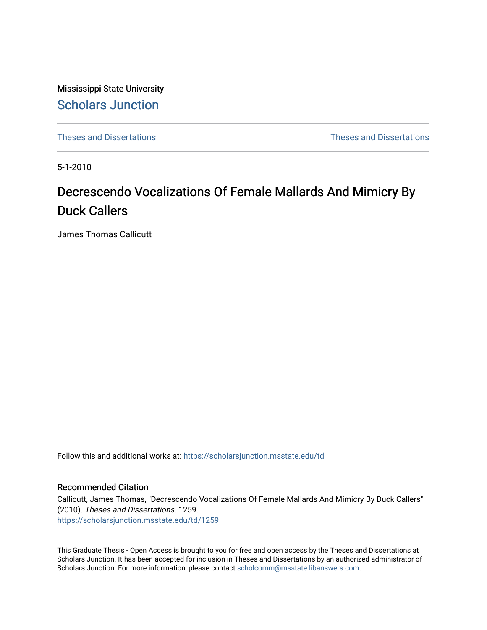Mississippi State University [Scholars Junction](https://scholarsjunction.msstate.edu/) 

[Theses and Dissertations](https://scholarsjunction.msstate.edu/td) [Theses and Dissertations](https://scholarsjunction.msstate.edu/theses-dissertations) 

5-1-2010

## Decrescendo Vocalizations Of Female Mallards And Mimicry By Duck Callers

James Thomas Callicutt

Follow this and additional works at: [https://scholarsjunction.msstate.edu/td](https://scholarsjunction.msstate.edu/td?utm_source=scholarsjunction.msstate.edu%2Ftd%2F1259&utm_medium=PDF&utm_campaign=PDFCoverPages) 

#### Recommended Citation

Callicutt, James Thomas, "Decrescendo Vocalizations Of Female Mallards And Mimicry By Duck Callers" (2010). Theses and Dissertations. 1259. [https://scholarsjunction.msstate.edu/td/1259](https://scholarsjunction.msstate.edu/td/1259?utm_source=scholarsjunction.msstate.edu%2Ftd%2F1259&utm_medium=PDF&utm_campaign=PDFCoverPages) 

This Graduate Thesis - Open Access is brought to you for free and open access by the Theses and Dissertations at Scholars Junction. It has been accepted for inclusion in Theses and Dissertations by an authorized administrator of Scholars Junction. For more information, please contact [scholcomm@msstate.libanswers.com.](mailto:scholcomm@msstate.libanswers.com)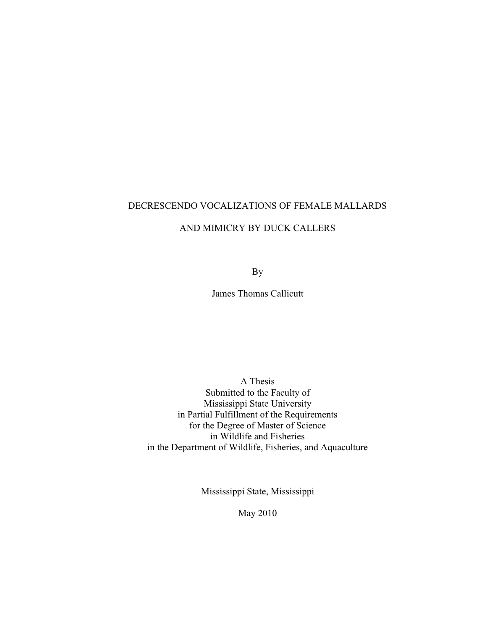### DECRESCENDO VOCALIZATIONS OF FEMALE MALLARDS

#### AND MIMICRY BY DUCK CALLERS

By

James Thomas Callicutt

A Thesis Submitted to the Faculty of Mississippi State University in Partial Fulfillment of the Requirements for the Degree of Master of Science in Wildlife and Fisheries in the Department of Wildlife, Fisheries, and Aquaculture

Mississippi State, Mississippi

May 2010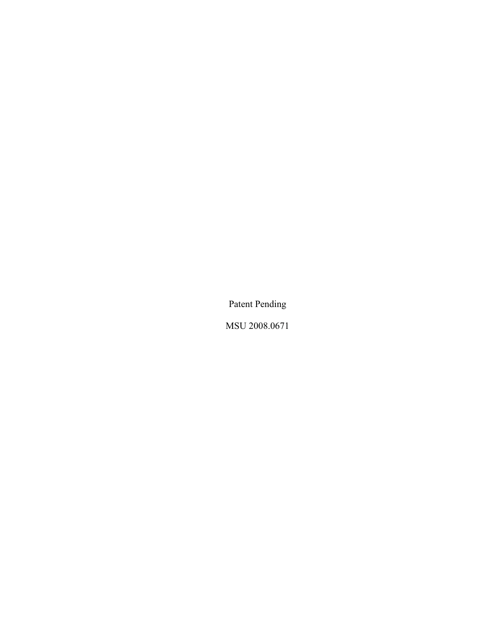Patent Pending

MSU 2008.0671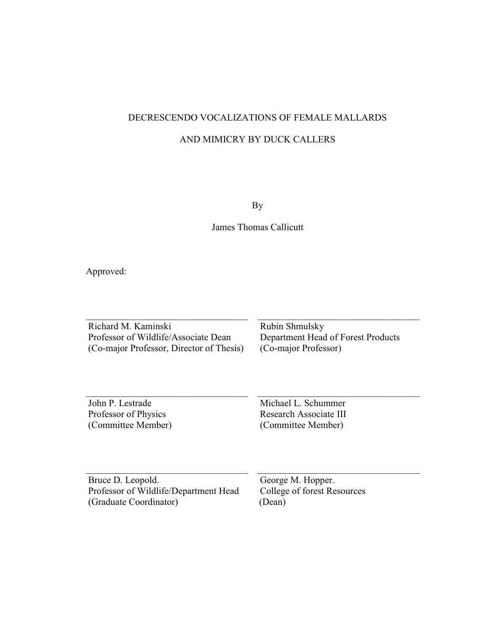### DECRESCENDO VOCALIZATIONS OF FEMALE MALLARDS

#### AND MIMICRY BY DUCK CALLERS

By

James Thomas Callicutt

Approved:

Richard M. Kaminski Professor of Wildlife/Associate Dean (Co-major Professor, Director of Thesis)

 $\overline{\phantom{a}}$  , and the set of the set of the set of the set of the set of the set of the set of the set of the set of the set of the set of the set of the set of the set of the set of the set of the set of the set of the s

 $\overline{\phantom{a}}$  , and the set of the set of the set of the set of the set of the set of the set of the set of the set of the set of the set of the set of the set of the set of the set of the set of the set of the set of the s

Rubin Shmulsky Department Head of Forest Products (Co-major Professor)

 $\overline{\phantom{a}}$  , and the set of the set of the set of the set of the set of the set of the set of the set of the set of the set of the set of the set of the set of the set of the set of the set of the set of the set of the s

 $\overline{\phantom{a}}$  , and the set of the set of the set of the set of the set of the set of the set of the set of the set of the set of the set of the set of the set of the set of the set of the set of the set of the set of the s

 $\overline{\phantom{a}}$  , and the set of the set of the set of the set of the set of the set of the set of the set of the set of the set of the set of the set of the set of the set of the set of the set of the set of the set of the s

John P. Lestrade Professor of Physics (Committee Member) Michael L. Schummer Research Associate III (Committee Member)

Bruce D. Leopold. Professor of Wildlife/Department Head (Graduate Coordinator)

 $\overline{\phantom{a}}$  , and the set of the set of the set of the set of the set of the set of the set of the set of the set of the set of the set of the set of the set of the set of the set of the set of the set of the set of the s

George M. Hopper. College of forest Resources (Dean)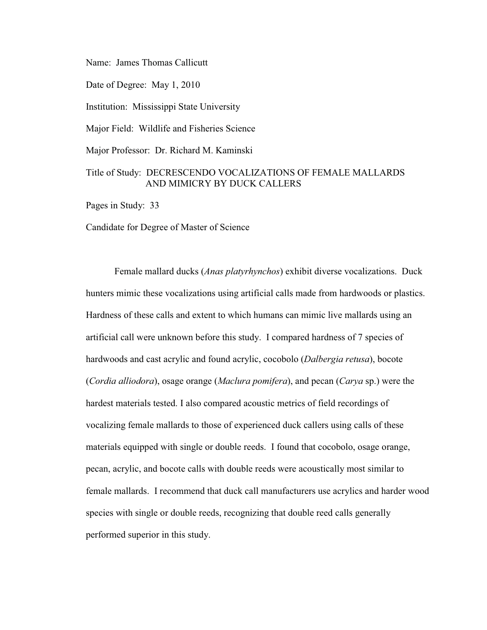Name: James Thomas Callicutt

Date of Degree: May 1, 2010

Institution: Mississippi State University

Major Field: Wildlife and Fisheries Science

Major Professor: Dr. Richard M. Kaminski

#### Title of Study: DECRESCENDO VOCALIZATIONS OF FEMALE MALLARDS AND MIMICRY BY DUCK CALLERS

Pages in Study: 33

Candidate for Degree of Master of Science

 artificial call were unknown before this study. I compared hardness of 7 species of hardest materials tested. I also compared acoustic metrics of field recordings of Female mallard ducks (*Anas platyrhynchos*) exhibit diverse vocalizations. Duck hunters mimic these vocalizations using artificial calls made from hardwoods or plastics. Hardness of these calls and extent to which humans can mimic live mallards using an hardwoods and cast acrylic and found acrylic, cocobolo (*Dalbergia retusa*), bocote (*Cordia alliodora*), osage orange (*Maclura pomifera*), and pecan (*Carya* sp.) were the vocalizing female mallards to those of experienced duck callers using calls of these materials equipped with single or double reeds. I found that cocobolo, osage orange, pecan, acrylic, and bocote calls with double reeds were acoustically most similar to female mallards. I recommend that duck call manufacturers use acrylics and harder wood species with single or double reeds, recognizing that double reed calls generally performed superior in this study.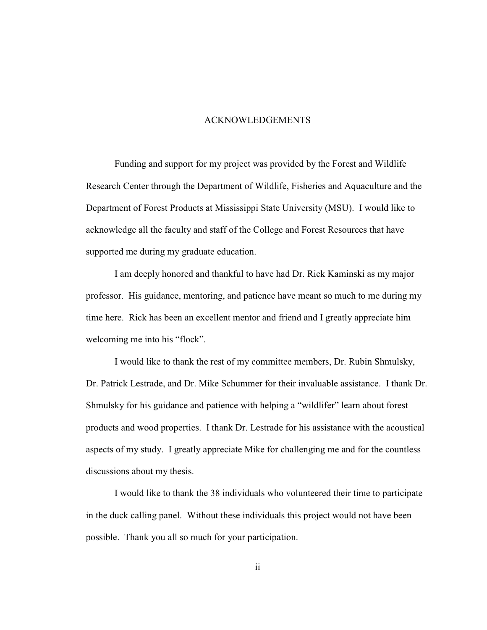#### ACKNOWLEDGEMENTS

<span id="page-5-0"></span>Funding and support for my project was provided by the Forest and Wildlife Research Center through the Department of Wildlife, Fisheries and Aquaculture and the Department of Forest Products at Mississippi State University (MSU). I would like to acknowledge all the faculty and staff of the College and Forest Resources that have supported me during my graduate education.

 time here. Rick has been an excellent mentor and friend and I greatly appreciate him I am deeply honored and thankful to have had Dr. Rick Kaminski as my major professor. His guidance, mentoring, and patience have meant so much to me during my welcoming me into his "flock".

 aspects of my study. I greatly appreciate Mike for challenging me and for the countless I would like to thank the rest of my committee members, Dr. Rubin Shmulsky, Dr. Patrick Lestrade, and Dr. Mike Schummer for their invaluable assistance. I thank Dr. Shmulsky for his guidance and patience with helping a "wildlifer" learn about forest products and wood properties. I thank Dr. Lestrade for his assistance with the acoustical discussions about my thesis.

I would like to thank the 38 individuals who volunteered their time to participate in the duck calling panel. Without these individuals this project would not have been possible. Thank you all so much for your participation.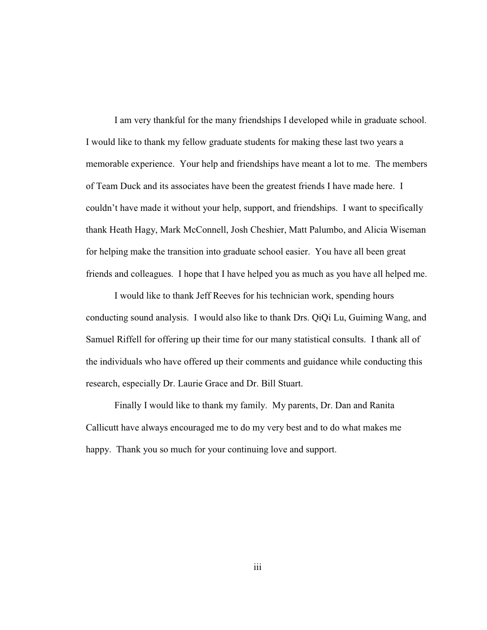I am very thankful for the many friendships I developed while in graduate school. I would like to thank my fellow graduate students for making these last two years a memorable experience. Your help and friendships have meant a lot to me. The members of Team Duck and its associates have been the greatest friends I have made here. I couldn't have made it without your help, support, and friendships. I want to specifically thank Heath Hagy, Mark McConnell, Josh Cheshier, Matt Palumbo, and Alicia Wiseman for helping make the transition into graduate school easier. You have all been great friends and colleagues. I hope that I have helped you as much as you have all helped me.

 Samuel Riffell for offering up their time for our many statistical consults. I thank all of I would like to thank Jeff Reeves for his technician work, spending hours conducting sound analysis. I would also like to thank Drs. QiQi Lu, Guiming Wang, and the individuals who have offered up their comments and guidance while conducting this research, especially Dr. Laurie Grace and Dr. Bill Stuart.

Finally I would like to thank my family. My parents, Dr. Dan and Ranita Callicutt have always encouraged me to do my very best and to do what makes me happy. Thank you so much for your continuing love and support.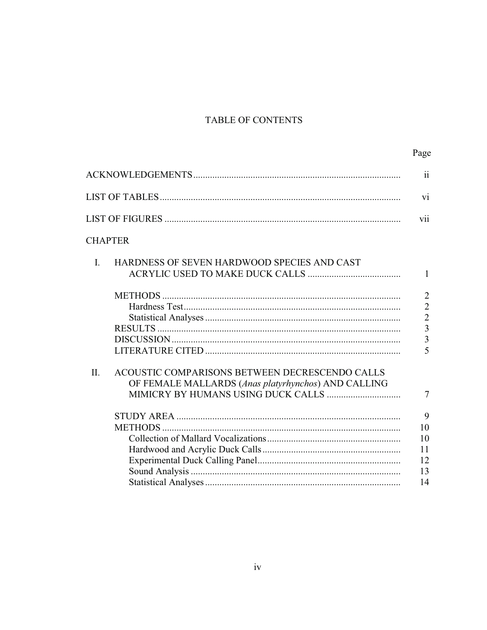## TABLE OF CONTENTS

|                                                                                                             | $\mathbf{ii}$                                                                                                     |
|-------------------------------------------------------------------------------------------------------------|-------------------------------------------------------------------------------------------------------------------|
|                                                                                                             | vi                                                                                                                |
|                                                                                                             | vii                                                                                                               |
| <b>CHAPTER</b>                                                                                              |                                                                                                                   |
| HARDNESS OF SEVEN HARDWOOD SPECIES AND CAST<br>$\mathbf{I}$                                                 | 1                                                                                                                 |
|                                                                                                             | $\overline{2}$<br>$\overline{2}$<br>$\overline{2}$<br>$\overline{3}$<br>$\overline{3}$<br>$\overline{\mathbf{5}}$ |
| ACOUSTIC COMPARISONS BETWEEN DECRESCENDO CALLS<br>H.<br>OF FEMALE MALLARDS (Anas platyrhynchos) AND CALLING |                                                                                                                   |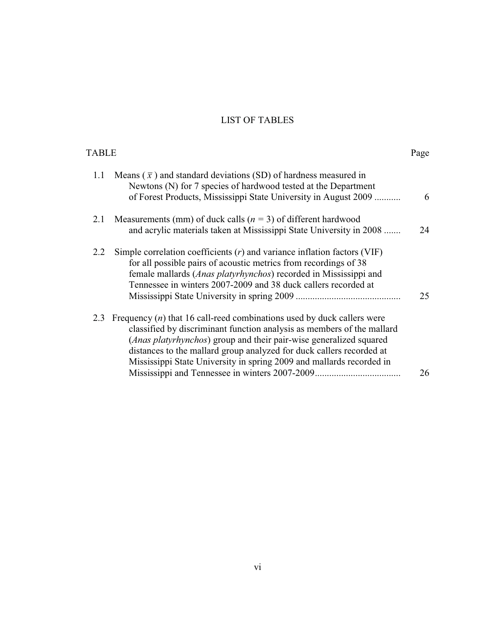## LIST OF TABLES

<span id="page-9-0"></span>

| <b>TABLE</b> |                                                                                                                                                                                                                                                                                                                                                                          | Page |
|--------------|--------------------------------------------------------------------------------------------------------------------------------------------------------------------------------------------------------------------------------------------------------------------------------------------------------------------------------------------------------------------------|------|
| 1.1          | Means $(\bar{x})$ and standard deviations (SD) of hardness measured in<br>Newtons (N) for 7 species of hardwood tested at the Department<br>of Forest Products, Mississippi State University in August 2009                                                                                                                                                              | 6    |
| 2.1          | Measurements (mm) of duck calls ( $n = 3$ ) of different hardwood<br>and acrylic materials taken at Mississippi State University in 2008                                                                                                                                                                                                                                 | 24   |
| 2.2          | Simple correlation coefficients $(r)$ and variance inflation factors (VIF)<br>for all possible pairs of acoustic metrics from recordings of 38<br>female mallards ( <i>Anas platyrhynchos</i> ) recorded in Mississippi and<br>Tennessee in winters 2007-2009 and 38 duck callers recorded at                                                                            | 25   |
| 2.3          | Frequency $(n)$ that 16 call-reed combinations used by duck callers were<br>classified by discriminant function analysis as members of the mallard<br>(Anas platyrhynchos) group and their pair-wise generalized squared<br>distances to the mallard group analyzed for duck callers recorded at<br>Mississippi State University in spring 2009 and mallards recorded in | 26   |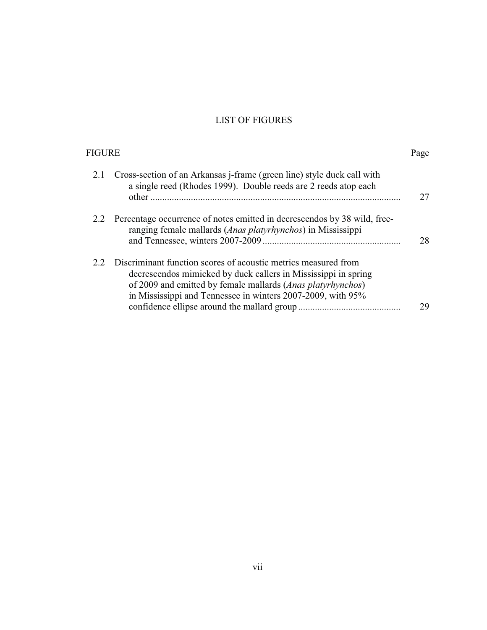## LIST OF FIGURES

<span id="page-10-0"></span>

| FIGURE |                                                                                                                                                                                                                                                                | Page |
|--------|----------------------------------------------------------------------------------------------------------------------------------------------------------------------------------------------------------------------------------------------------------------|------|
| 2.1    | Cross-section of an Arkansas <i>j</i> -frame (green line) style duck call with<br>a single reed (Rhodes 1999). Double reeds are 2 reeds atop each                                                                                                              | 27   |
| 2.2    | Percentage occurrence of notes emitted in decrescendos by 38 wild, free-<br>ranging female mallards (Anas platyrhynchos) in Mississippi                                                                                                                        | 28   |
| 2.2    | Discriminant function scores of acoustic metrics measured from<br>decrescendos mimicked by duck callers in Mississippi in spring<br>of 2009 and emitted by female mallards (Anas platyrhynchos)<br>in Mississippi and Tennessee in winters 2007-2009, with 95% | 29   |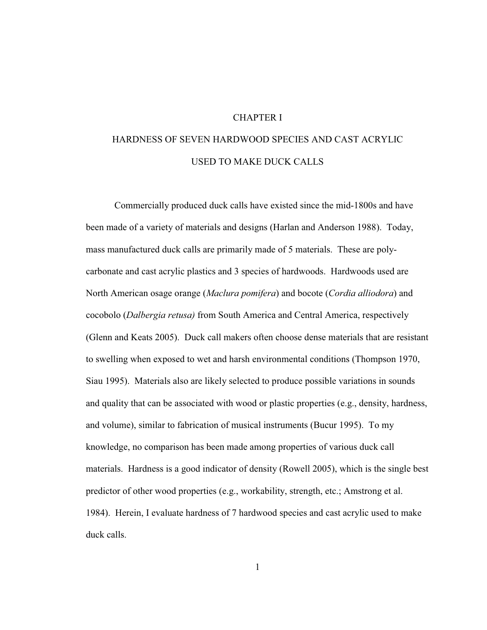#### CHAPTER I

## <span id="page-11-0"></span>HARDNESS OF SEVEN HARDWOOD SPECIES AND CAST ACRYLIC USED TO MAKE DUCK CALLS

Commercially produced duck calls have existed since the mid-1800s and have been made of a variety of materials and designs (Harlan and Anderson 1988). Today, mass manufactured duck calls are primarily made of 5 materials. These are polycarbonate and cast acrylic plastics and 3 species of hardwoods. Hardwoods used are North American osage orange (*Maclura pomifera*) and bocote (*Cordia alliodora*) and cocobolo (*Dalbergia retusa)* from South America and Central America, respectively (Glenn and Keats 2005). Duck call makers often choose dense materials that are resistant to swelling when exposed to wet and harsh environmental conditions (Thompson 1970, Siau 1995). Materials also are likely selected to produce possible variations in sounds and quality that can be associated with wood or plastic properties (e.g., density, hardness, and volume), similar to fabrication of musical instruments (Bucur 1995). To my knowledge, no comparison has been made among properties of various duck call materials. Hardness is a good indicator of density (Rowell 2005), which is the single best predictor of other wood properties (e.g., workability, strength, etc.; Amstrong et al. 1984). Herein, I evaluate hardness of 7 hardwood species and cast acrylic used to make duck calls.

1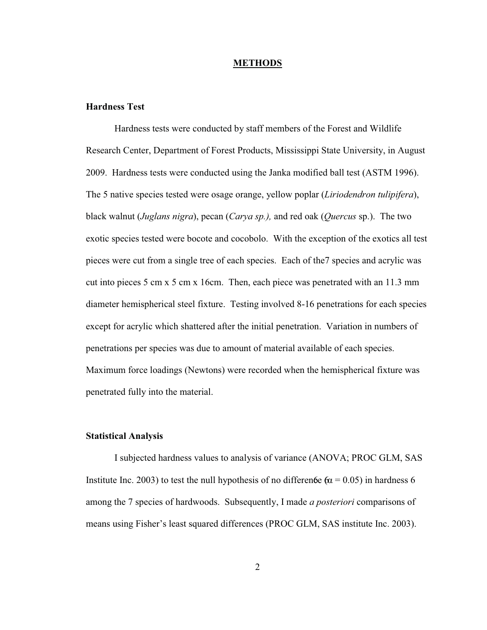#### **METHODS**

#### <span id="page-12-0"></span>**Hardness Test**

Hardness tests were conducted by staff members of the Forest and Wildlife Research Center, Department of Forest Products, Mississippi State University, in August 2009. Hardness tests were conducted using the Janka modified ball test (ASTM 1996). The 5 native species tested were osage orange, yellow poplar (*Liriodendron tulipifera*), black walnut (*Juglans nigra*), pecan (*Carya sp.),* and red oak (*Quercus* sp.). The two exotic species tested were bocote and cocobolo. With the exception of the exotics all test pieces were cut from a single tree of each species. Each of the7 species and acrylic was cut into pieces 5 cm x 5 cm x 16cm. Then, each piece was penetrated with an 11.3 mm diameter hemispherical steel fixture. Testing involved 8-16 penetrations for each species except for acrylic which shattered after the initial penetration. Variation in numbers of penetrations per species was due to amount of material available of each species. Maximum force loadings (Newtons) were recorded when the hemispherical fixture was penetrated fully into the material.

#### **Statistical Analysis**

I subjected hardness values to analysis of variance (ANOVA; PROC GLM, SAS Institute Inc. 2003) to test the null hypothesis of no difference  $6\alpha = 0.05$  in hardness 6 among the 7 species of hardwoods. Subsequently, I made *a posteriori* comparisons of means using Fisher's least squared differences (PROC GLM, SAS institute Inc. 2003).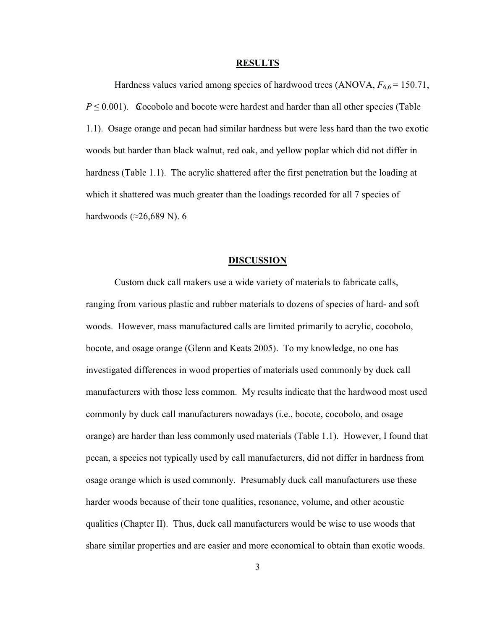#### **RESULTS**

<span id="page-13-0"></span>Hardness values varied among species of hardwood trees (ANOVA,  $F_{6,6}$  = 150.71,  $P \leq 0.001$ ). Cocobolo and bocote were hardest and harder than all other species (Table 1.1). Osage orange and pecan had similar hardness but were less hard than the two exotic woods but harder than black walnut, red oak, and yellow poplar which did not differ in hardness (Table 1.1). The acrylic shattered after the first penetration but the loading at which it shattered was much greater than the loadings recorded for all 7 species of hardwoods ( $\approx$ 26,689 N). 6

#### **DISCUSSION**

Custom duck call makers use a wide variety of materials to fabricate calls, ranging from various plastic and rubber materials to dozens of species of hard- and soft woods. However, mass manufactured calls are limited primarily to acrylic, cocobolo, bocote, and osage orange (Glenn and Keats 2005). To my knowledge, no one has investigated differences in wood properties of materials used commonly by duck call manufacturers with those less common. My results indicate that the hardwood most used commonly by duck call manufacturers nowadays (i.e., bocote, cocobolo, and osage orange) are harder than less commonly used materials (Table 1.1). However, I found that pecan, a species not typically used by call manufacturers, did not differ in hardness from osage orange which is used commonly. Presumably duck call manufacturers use these harder woods because of their tone qualities, resonance, volume, and other acoustic qualities (Chapter II). Thus, duck call manufacturers would be wise to use woods that share similar properties and are easier and more economical to obtain than exotic woods.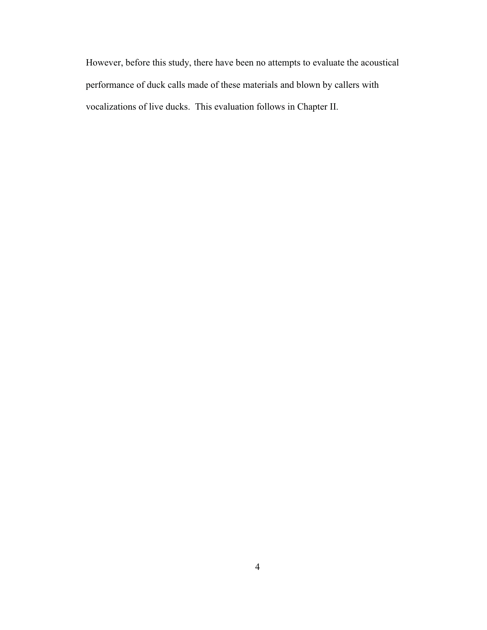However, before this study, there have been no attempts to evaluate the acoustical performance of duck calls made of these materials and blown by callers with vocalizations of live ducks. This evaluation follows in Chapter II.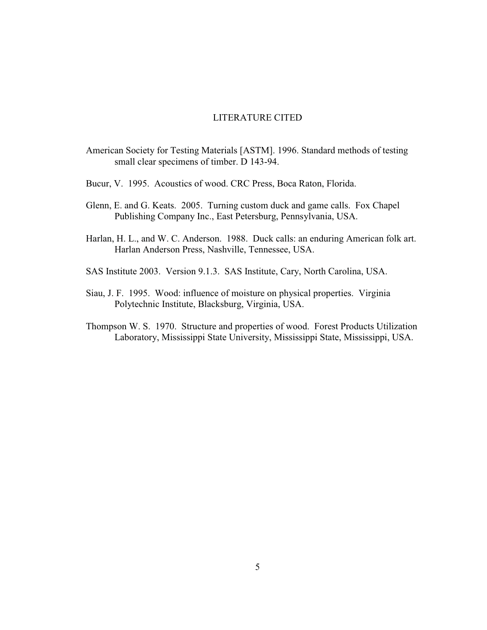#### LITERATURE CITED

- <span id="page-15-0"></span>American Society for Testing Materials [ASTM]. 1996. Standard methods of testing small clear specimens of timber. D 143-94.
- Bucur, V. 1995. Acoustics of wood. CRC Press, Boca Raton, Florida.
- Glenn, E. and G. Keats. 2005. Turning custom duck and game calls. Fox Chapel Publishing Company Inc., East Petersburg, Pennsylvania, USA.
- Harlan, H. L., and W. C. Anderson. 1988. Duck calls: an enduring American folk art. Harlan Anderson Press, Nashville, Tennessee, USA.
- SAS Institute 2003. Version 9.1.3. SAS Institute, Cary, North Carolina, USA.
- Siau, J. F. 1995. Wood: influence of moisture on physical properties. Virginia Polytechnic Institute, Blacksburg, Virginia, USA.
- Thompson W. S. 1970. Structure and properties of wood. Forest Products Utilization Laboratory, Mississippi State University, Mississippi State, Mississippi, USA.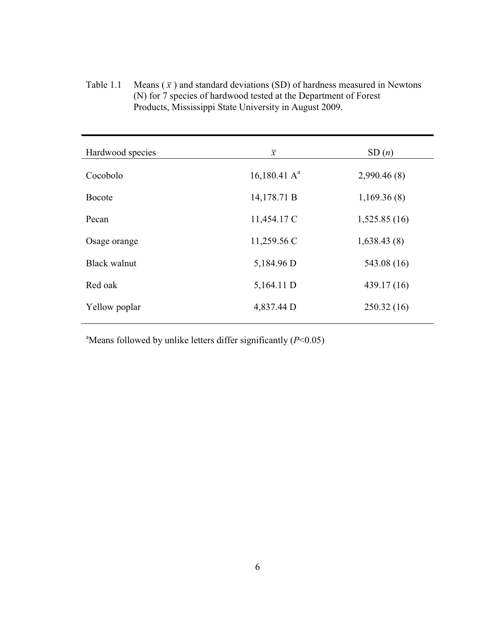Table 1.1 Means  $(\bar{x})$  and standard deviations (SD) of hardness measured in Newtons (N) for 7 species of hardwood tested at the Department of Forest Products, Mississippi State University in August 2009.

| Hardwood species    | $\overline{x}$  | SD(n)        |
|---------------------|-----------------|--------------|
| Cocobolo            | 16,180.41 $A^a$ | 2,990.46(8)  |
| <b>Bocote</b>       | 14,178.71 B     | 1,169.36(8)  |
| Pecan               | 11,454.17 C     | 1,525.85(16) |
| Osage orange        | 11,259.56 C     | 1,638.43(8)  |
| <b>Black walnut</b> | 5,184.96 D      | 543.08 (16)  |
| Red oak             | 5,164.11 D      | 439.17 (16)  |
| Yellow poplar       | 4,837.44 D      | 250.32(16)   |
|                     |                 |              |

a Means followed by unlike letters differ significantly (*P*<0.05)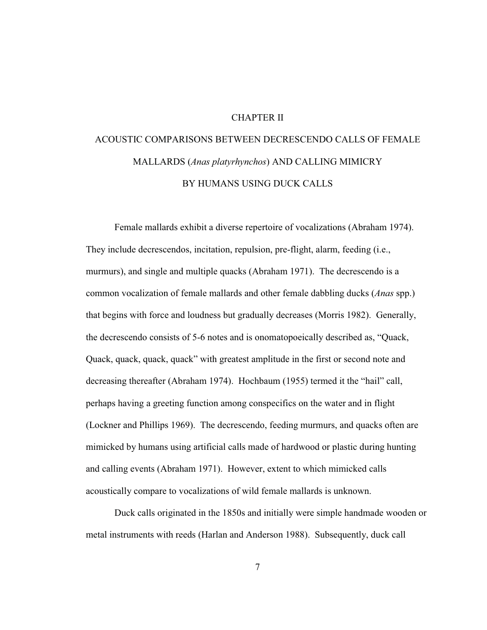#### CHAPTER II

# <span id="page-17-0"></span>ACOUSTIC COMPARISONS BETWEEN DECRESCENDO CALLS OF FEMALE MALLARDS (*Anas platyrhynchos*) AND CALLING MIMICRY BY HUMANS USING DUCK CALLS

Female mallards exhibit a diverse repertoire of vocalizations (Abraham 1974). They include decrescendos, incitation, repulsion, pre-flight, alarm, feeding (i.e., murmurs), and single and multiple quacks (Abraham 1971). The decrescendo is a common vocalization of female mallards and other female dabbling ducks (*Anas* spp.) that begins with force and loudness but gradually decreases (Morris 1982). Generally, the decrescendo consists of 5-6 notes and is onomatopoeically described as, "Quack, Quack, quack, quack, quack" with greatest amplitude in the first or second note and decreasing thereafter (Abraham 1974). Hochbaum (1955) termed it the "hail" call, perhaps having a greeting function among conspecifics on the water and in flight (Lockner and Phillips 1969). The decrescendo, feeding murmurs, and quacks often are mimicked by humans using artificial calls made of hardwood or plastic during hunting and calling events (Abraham 1971). However, extent to which mimicked calls acoustically compare to vocalizations of wild female mallards is unknown.

Duck calls originated in the 1850s and initially were simple handmade wooden or metal instruments with reeds (Harlan and Anderson 1988). Subsequently, duck call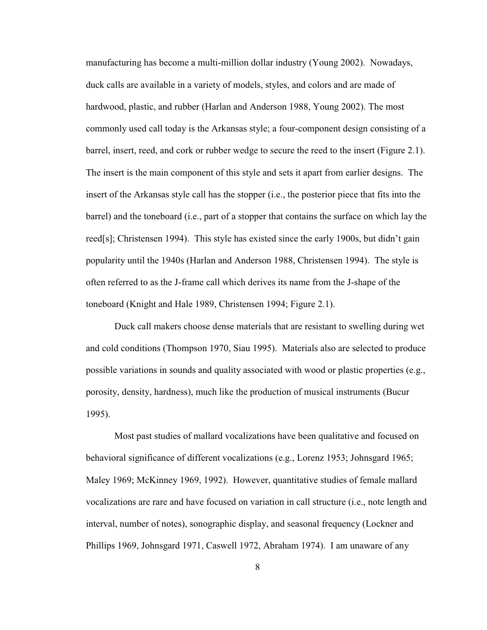manufacturing has become a multi-million dollar industry (Young 2002). Nowadays, duck calls are available in a variety of models, styles, and colors and are made of hardwood, plastic, and rubber (Harlan and Anderson 1988, Young 2002). The most commonly used call today is the Arkansas style; a four-component design consisting of a barrel, insert, reed, and cork or rubber wedge to secure the reed to the insert (Figure 2.1). The insert is the main component of this style and sets it apart from earlier designs. The insert of the Arkansas style call has the stopper (i.e., the posterior piece that fits into the barrel) and the toneboard (i.e., part of a stopper that contains the surface on which lay the reed[s]; Christensen 1994). This style has existed since the early 1900s, but didn't gain popularity until the 1940s (Harlan and Anderson 1988, Christensen 1994). The style is often referred to as the J-frame call which derives its name from the J-shape of the toneboard (Knight and Hale 1989, Christensen 1994; Figure 2.1).

Duck call makers choose dense materials that are resistant to swelling during wet and cold conditions (Thompson 1970, Siau 1995). Materials also are selected to produce possible variations in sounds and quality associated with wood or plastic properties (e.g., porosity, density, hardness), much like the production of musical instruments (Bucur 1995).

Most past studies of mallard vocalizations have been qualitative and focused on behavioral significance of different vocalizations (e.g., Lorenz 1953; Johnsgard 1965; Maley 1969; McKinney 1969, 1992). However, quantitative studies of female mallard vocalizations are rare and have focused on variation in call structure (i.e., note length and interval, number of notes), sonographic display, and seasonal frequency (Lockner and Phillips 1969, Johnsgard 1971, Caswell 1972, Abraham 1974). I am unaware of any

8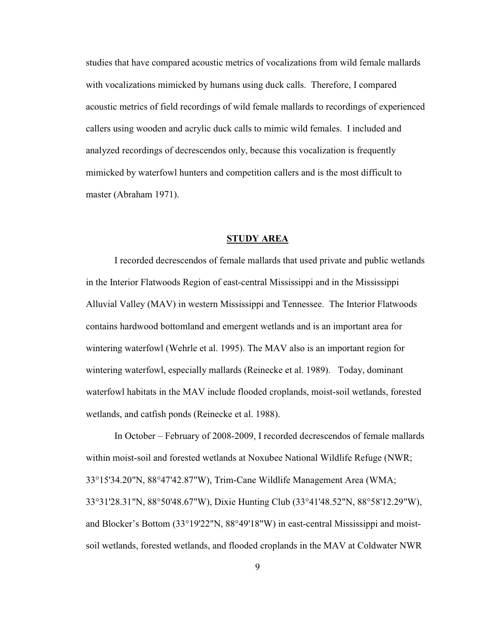<span id="page-19-0"></span> callers using wooden and acrylic duck calls to mimic wild females. I included and studies that have compared acoustic metrics of vocalizations from wild female mallards with vocalizations mimicked by humans using duck calls. Therefore, I compared acoustic metrics of field recordings of wild female mallards to recordings of experienced analyzed recordings of decrescendos only, because this vocalization is frequently mimicked by waterfowl hunters and competition callers and is the most difficult to master (Abraham 1971).

#### **STUDY AREA**

I recorded decrescendos of female mallards that used private and public wetlands in the Interior Flatwoods Region of east-central Mississippi and in the Mississippi Alluvial Valley (MAV) in western Mississippi and Tennessee. The Interior Flatwoods contains hardwood bottomland and emergent wetlands and is an important area for wintering waterfowl (Wehrle et al. 1995). The MAV also is an important region for wintering waterfowl, especially mallards (Reinecke et al. 1989). Today, dominant waterfowl habitats in the MAV include flooded croplands, moist-soil wetlands, forested wetlands, and catfish ponds (Reinecke et al. 1988).

In October – February of 2008-2009, I recorded decrescendos of female mallards within moist-soil and forested wetlands at Noxubee National Wildlife Refuge (NWR; 33°15'34.20"N, 88°47'42.87"W), Trim-Cane Wildlife Management Area (WMA; 33°31'28.31"N, 88°50'48.67"W), Dixie Hunting Club (33°41'48.52"N, 88°58'12.29"W), and Blocker's Bottom (33°19'22"N, 88°49'18"W) in east-central Mississippi and moistsoil wetlands, forested wetlands, and flooded croplands in the MAV at Coldwater NWR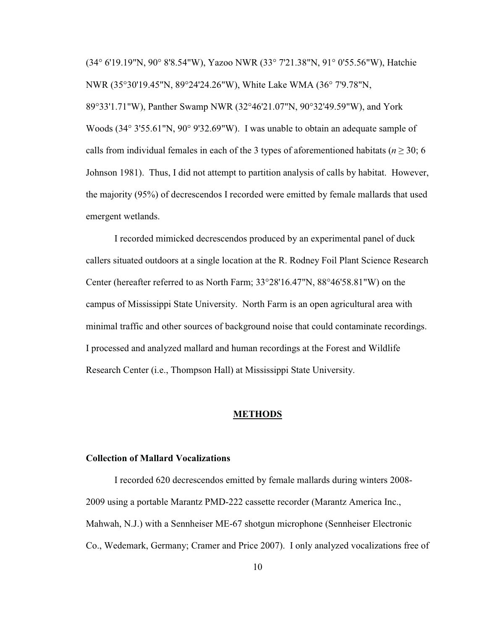<span id="page-20-0"></span>(34° 6'19.19"N, 90° 8'8.54"W), Yazoo NWR (33° 7'21.38"N, 91° 0'55.56"W), Hatchie NWR (35°30'19.45"N, 89°24'24.26"W), White Lake WMA (36° 7'9.78"N, 89°33'1.71"W), Panther Swamp NWR (32°46'21.07"N, 90°32'49.59"W), and York Woods (34° 3'55.61"N, 90° 9'32.69"W). I was unable to obtain an adequate sample of calls from individual females in each of the 3 types of aforementioned habitats ( $n \ge 30$ ; 6 Johnson 1981). Thus, I did not attempt to partition analysis of calls by habitat. However, the majority (95%) of decrescendos I recorded were emitted by female mallards that used emergent wetlands.

I recorded mimicked decrescendos produced by an experimental panel of duck callers situated outdoors at a single location at the R. Rodney Foil Plant Science Research Center (hereafter referred to as North Farm; 33°28'16.47"N, 88°46'58.81"W) on the campus of Mississippi State University. North Farm is an open agricultural area with minimal traffic and other sources of background noise that could contaminate recordings. I processed and analyzed mallard and human recordings at the Forest and Wildlife Research Center (i.e., Thompson Hall) at Mississippi State University.

#### **METHODS**

#### **Collection of Mallard Vocalizations**

I recorded 620 decrescendos emitted by female mallards during winters 2008- 2009 using a portable Marantz PMD-222 cassette recorder (Marantz America Inc., Mahwah, N.J.) with a Sennheiser ME-67 shotgun microphone (Sennheiser Electronic Co., Wedemark, Germany; Cramer and Price 2007). I only analyzed vocalizations free of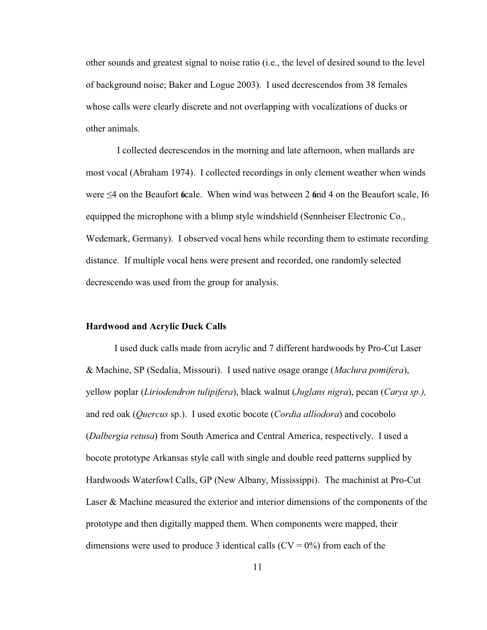<span id="page-21-0"></span>other sounds and greatest signal to noise ratio (i.e., the level of desired sound to the level of background noise; Baker and Logue 2003). I used decrescendos from 38 females whose calls were clearly discrete and not overlapping with vocalizations of ducks or other animals.

I collected decrescendos in the morning and late afternoon, when mallards are most vocal (Abraham 1974). I collected recordings in only clement weather when winds were  $\leq$ 4 on the Beaufort **6**cale. When wind was between 2 6nd 4 on the Beaufort scale, 16 equipped the microphone with a blimp style windshield (Sennheiser Electronic Co., Wedemark, Germany). I observed vocal hens while recording them to estimate recording distance. If multiple vocal hens were present and recorded, one randomly selected decrescendo was used from the group for analysis.

#### **Hardwood and Acrylic Duck Calls**

 (*Dalbergia retusa*) from South America and Central America, respectively. I used a I used duck calls made from acrylic and 7 different hardwoods by Pro-Cut Laser & Machine, SP (Sedalia, Missouri). I used native osage orange (*Maclura pomifera*), yellow poplar (*Liriodendron tulipifera*), black walnut (*Juglans nigra*), pecan (*Carya sp.),*  and red oak (*Quercus* sp.). I used exotic bocote (*Cordia alliodora*) and cocobolo bocote prototype Arkansas style call with single and double reed patterns supplied by Hardwoods Waterfowl Calls, GP (New Albany, Mississippi). The machinist at Pro-Cut Laser & Machine measured the exterior and interior dimensions of the components of the prototype and then digitally mapped them. When components were mapped, their dimensions were used to produce 3 identical calls  $(CV = 0\%)$  from each of the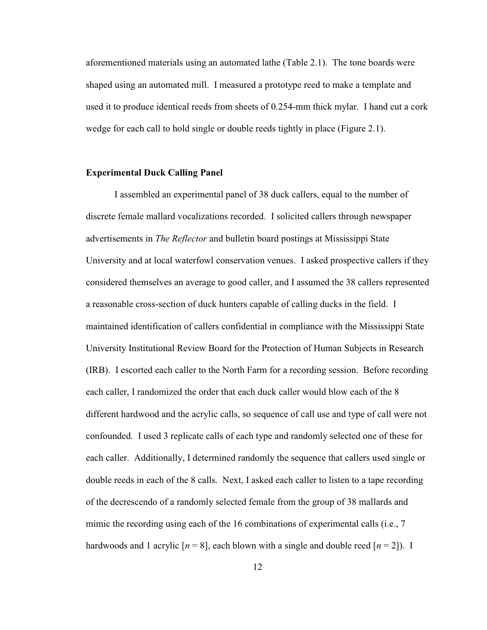<span id="page-22-0"></span>aforementioned materials using an automated lathe (Table 2.1). The tone boards were shaped using an automated mill. I measured a prototype reed to make a template and used it to produce identical reeds from sheets of 0.254-mm thick mylar. I hand cut a cork wedge for each call to hold single or double reeds tightly in place (Figure 2.1).

#### **Experimental Duck Calling Panel**

I assembled an experimental panel of 38 duck callers, equal to the number of discrete female mallard vocalizations recorded. I solicited callers through newspaper advertisements in *The Reflector* and bulletin board postings at Mississippi State University and at local waterfowl conservation venues. I asked prospective callers if they considered themselves an average to good caller, and I assumed the 38 callers represented a reasonable cross-section of duck hunters capable of calling ducks in the field. I maintained identification of callers confidential in compliance with the Mississippi State University Institutional Review Board for the Protection of Human Subjects in Research (IRB). I escorted each caller to the North Farm for a recording session. Before recording each caller, I randomized the order that each duck caller would blow each of the 8 different hardwood and the acrylic calls, so sequence of call use and type of call were not confounded. I used 3 replicate calls of each type and randomly selected one of these for each caller. Additionally, I determined randomly the sequence that callers used single or double reeds in each of the 8 calls. Next, I asked each caller to listen to a tape recording of the decrescendo of a randomly selected female from the group of 38 mallards and mimic the recording using each of the 16 combinations of experimental calls (i.e., 7 hardwoods and 1 acrylic  $[n = 8]$ , each blown with a single and double reed  $[n = 2]$ ). I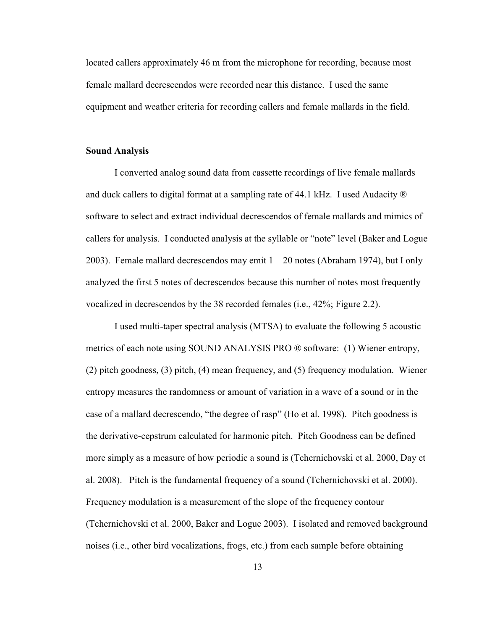<span id="page-23-0"></span>located callers approximately 46 m from the microphone for recording, because most female mallard decrescendos were recorded near this distance. I used the same equipment and weather criteria for recording callers and female mallards in the field.

#### **Sound Analysis**

 and duck callers to digital format at a sampling rate of 44.1 kHz. I used Audacity ® I converted analog sound data from cassette recordings of live female mallards software to select and extract individual decrescendos of female mallards and mimics of callers for analysis. I conducted analysis at the syllable or "note" level (Baker and Logue 2003). Female mallard decrescendos may emit  $1 - 20$  notes (Abraham 1974), but I only analyzed the first 5 notes of decrescendos because this number of notes most frequently vocalized in decrescendos by the 38 recorded females (i.e., 42%; Figure 2.2).

I used multi-taper spectral analysis (MTSA) to evaluate the following 5 acoustic metrics of each note using SOUND ANALYSIS PRO ® software: (1) Wiener entropy, (2) pitch goodness, (3) pitch, (4) mean frequency, and (5) frequency modulation. Wiener entropy measures the randomness or amount of variation in a wave of a sound or in the case of a mallard decrescendo, "the degree of rasp" (Ho et al. 1998). Pitch goodness is the derivative-cepstrum calculated for harmonic pitch. Pitch Goodness can be defined more simply as a measure of how periodic a sound is (Tchernichovski et al. 2000, Day et al. 2008). Pitch is the fundamental frequency of a sound (Tchernichovski et al. 2000). Frequency modulation is a measurement of the slope of the frequency contour (Tchernichovski et al. 2000, Baker and Logue 2003). I isolated and removed background noises (i.e., other bird vocalizations, frogs, etc.) from each sample before obtaining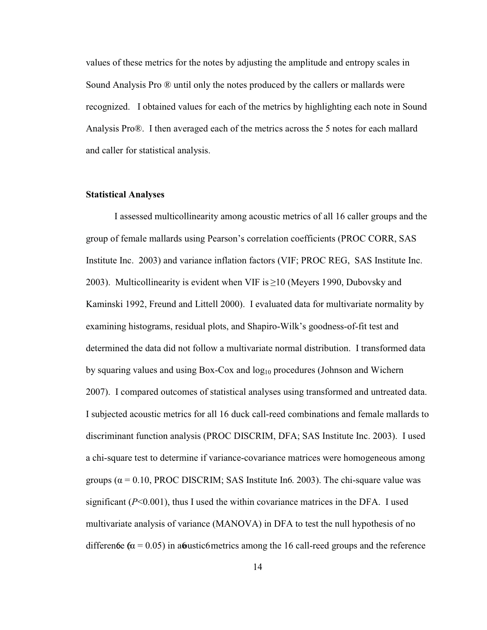<span id="page-24-0"></span>values of these metrics for the notes by adjusting the amplitude and entropy scales in Sound Analysis Pro ® until only the notes produced by the callers or mallards were recognized. I obtained values for each of the metrics by highlighting each note in Sound Analysis Pro®. I then averaged each of the metrics across the 5 notes for each mallard and caller for statistical analysis.

#### **Statistical Analyses**

 Kaminski 1992, Freund and Littell 2000). I evaluated data for multivariate normality by groups ( $\alpha$  = 0.10, PROC DISCRIM; SAS Institute In6. 2003). The chi-square value was I assessed multicollinearity among acoustic metrics of all 16 caller groups and the group of female mallards using Pearson's correlation coefficients (PROC CORR, SAS Institute Inc. 2003) and variance inflation factors (VIF; PROC REG, SAS Institute Inc. 2003). Multicollinearity is evident when VIF is  $\geq$ 10 (Meyers 1990, Dubovsky and examining histograms, residual plots, and Shapiro-Wilk's goodness-of-fit test and determined the data did not follow a multivariate normal distribution. I transformed data by squaring values and using Box-Cox and  $log_{10}$  procedures (Johnson and Wichern 2007). I compared outcomes of statistical analyses using transformed and untreated data. I subjected acoustic metrics for all 16 duck call-reed combinations and female mallards to discriminant function analysis (PROC DISCRIM, DFA; SAS Institute Inc. 2003). I used a chi-square test to determine if variance-covariance matrices were homogeneous among significant  $(P<0.001)$ , thus I used the within covariance matrices in the DFA. I used multivariate analysis of variance (MANOVA) in DFA to test the null hypothesis of no difference  $\alpha$  = 0.05) in a coustic 6 metrics among the 16 call-reed groups and the reference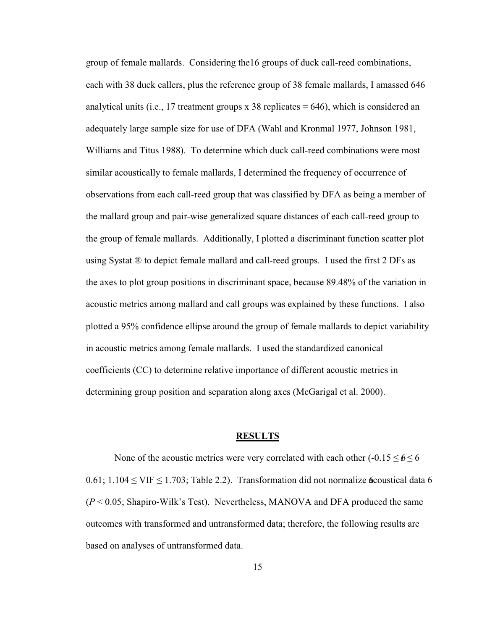<span id="page-25-0"></span>group of female mallards. Considering the16 groups of duck call-reed combinations, each with 38 duck callers, plus the reference group of 38 female mallards, I amassed 646 analytical units (i.e., 17 treatment groups x 38 replicates  $= 646$ ), which is considered an adequately large sample size for use of DFA (Wahl and Kronmal 1977, Johnson 1981, Williams and Titus 1988). To determine which duck call-reed combinations were most similar acoustically to female mallards, I determined the frequency of occurrence of observations from each call-reed group that was classified by DFA as being a member of the mallard group and pair-wise generalized square distances of each call-reed group to the group of female mallards. Additionally, I plotted a discriminant function scatter plot using Systat ® to depict female mallard and call-reed groups. I used the first 2 DFs as the axes to plot group positions in discriminant space, because 89.48% of the variation in acoustic metrics among mallard and call groups was explained by these functions. I also plotted a 95% confidence ellipse around the group of female mallards to depict variability in acoustic metrics among female mallards. I used the standardized canonical coefficients (CC) to determine relative importance of different acoustic metrics in determining group position and separation along axes (McGarigal et al. 2000).

#### **RESULTS**

None of the acoustic metrics were very correlated with each other  $(-0.15 \leq 6 \leq 6$  $0.61$ ;  $1.104 \leq$  VIF  $\leq$  1.703; Table 2.2). Transformation did not normalize **6** coustical data 6 (*P* < 0.05; Shapiro-Wilk's Test). Nevertheless, MANOVA and DFA produced the same outcomes with transformed and untransformed data; therefore, the following results are based on analyses of untransformed data.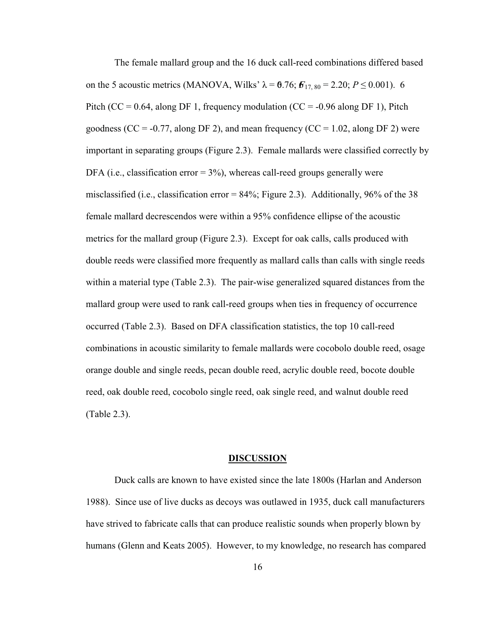<span id="page-26-0"></span>The female mallard group and the 16 duck call-reed combinations differed based on the 5 acoustic metrics (MANOVA, Wilks'  $\lambda = 6.76$ ;  $F_{17, 80} = 2.20$ ;  $P \le 0.001$ ). 6 Pitch (CC = 0.64, along DF 1, frequency modulation (CC = -0.96 along DF 1), Pitch goodness ( $CC = -0.77$ , along DF 2), and mean frequency ( $CC = 1.02$ , along DF 2) were important in separating groups (Figure 2.3). Female mallards were classified correctly by DFA (i.e., classification error  $= 3\%$ ), whereas call-reed groups generally were misclassified (i.e., classification error =  $84\%$ ; Figure 2.3). Additionally, 96% of the 38 female mallard decrescendos were within a 95% confidence ellipse of the acoustic metrics for the mallard group (Figure 2.3). Except for oak calls, calls produced with double reeds were classified more frequently as mallard calls than calls with single reeds within a material type (Table 2.3). The pair-wise generalized squared distances from the mallard group were used to rank call-reed groups when ties in frequency of occurrence occurred (Table 2.3). Based on DFA classification statistics, the top 10 call-reed combinations in acoustic similarity to female mallards were cocobolo double reed, osage orange double and single reeds, pecan double reed, acrylic double reed, bocote double reed, oak double reed, cocobolo single reed, oak single reed, and walnut double reed (Table 2.3).

#### **DISCUSSION**

Duck calls are known to have existed since the late 1800s (Harlan and Anderson 1988). Since use of live ducks as decoys was outlawed in 1935, duck call manufacturers have strived to fabricate calls that can produce realistic sounds when properly blown by humans (Glenn and Keats 2005). However, to my knowledge, no research has compared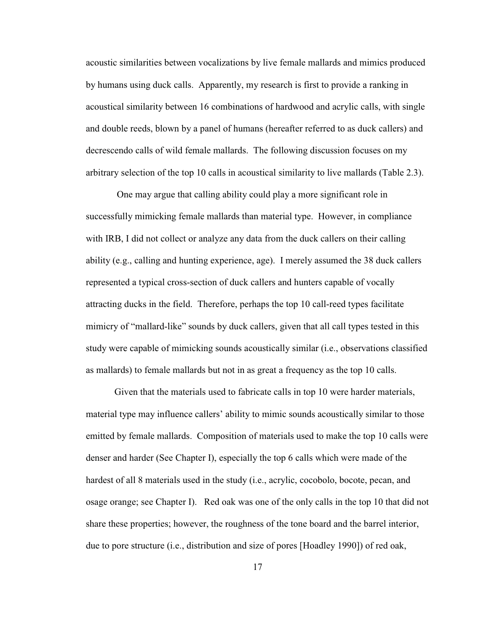acoustic similarities between vocalizations by live female mallards and mimics produced by humans using duck calls. Apparently, my research is first to provide a ranking in acoustical similarity between 16 combinations of hardwood and acrylic calls, with single and double reeds, blown by a panel of humans (hereafter referred to as duck callers) and decrescendo calls of wild female mallards. The following discussion focuses on my arbitrary selection of the top 10 calls in acoustical similarity to live mallards (Table 2.3).

 with IRB, I did not collect or analyze any data from the duck callers on their calling ability (e.g., calling and hunting experience, age). I merely assumed the 38 duck callers One may argue that calling ability could play a more significant role in successfully mimicking female mallards than material type. However, in compliance represented a typical cross-section of duck callers and hunters capable of vocally attracting ducks in the field. Therefore, perhaps the top 10 call-reed types facilitate mimicry of "mallard-like" sounds by duck callers, given that all call types tested in this study were capable of mimicking sounds acoustically similar (i.e., observations classified as mallards) to female mallards but not in as great a frequency as the top 10 calls.

Given that the materials used to fabricate calls in top 10 were harder materials, material type may influence callers' ability to mimic sounds acoustically similar to those emitted by female mallards. Composition of materials used to make the top 10 calls were denser and harder (See Chapter I), especially the top 6 calls which were made of the hardest of all 8 materials used in the study (i.e., acrylic, cocobolo, bocote, pecan, and osage orange; see Chapter I). Red oak was one of the only calls in the top 10 that did not share these properties; however, the roughness of the tone board and the barrel interior, due to pore structure (i.e., distribution and size of pores [Hoadley 1990]) of red oak,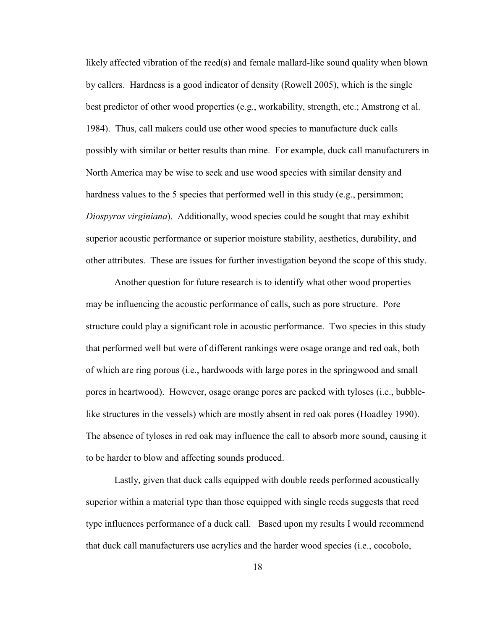possibly with similar or better results than mine. For example, duck call manufacturers in likely affected vibration of the reed(s) and female mallard-like sound quality when blown by callers. Hardness is a good indicator of density (Rowell 2005), which is the single best predictor of other wood properties (e.g., workability, strength, etc.; Amstrong et al. 1984). Thus, call makers could use other wood species to manufacture duck calls North America may be wise to seek and use wood species with similar density and hardness values to the 5 species that performed well in this study (e.g., persimmon; *Diospyros virginiana*). Additionally, wood species could be sought that may exhibit superior acoustic performance or superior moisture stability, aesthetics, durability, and other attributes. These are issues for further investigation beyond the scope of this study.

Another question for future research is to identify what other wood properties may be influencing the acoustic performance of calls, such as pore structure. Pore structure could play a significant role in acoustic performance. Two species in this study that performed well but were of different rankings were osage orange and red oak, both of which are ring porous (i.e., hardwoods with large pores in the springwood and small pores in heartwood). However, osage orange pores are packed with tyloses (i.e., bubblelike structures in the vessels) which are mostly absent in red oak pores (Hoadley 1990). The absence of tyloses in red oak may influence the call to absorb more sound, causing it to be harder to blow and affecting sounds produced.

Lastly, given that duck calls equipped with double reeds performed acoustically superior within a material type than those equipped with single reeds suggests that reed type influences performance of a duck call. Based upon my results I would recommend that duck call manufacturers use acrylics and the harder wood species (i.e., cocobolo,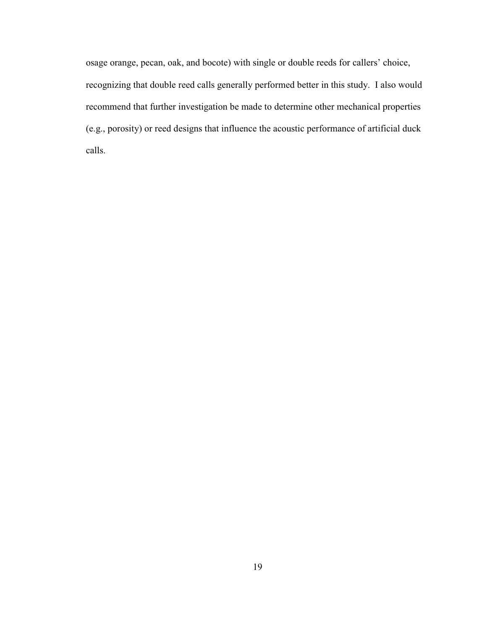recognizing that double reed calls generally performed better in this study. I also would osage orange, pecan, oak, and bocote) with single or double reeds for callers' choice, recommend that further investigation be made to determine other mechanical properties (e.g., porosity) or reed designs that influence the acoustic performance of artificial duck calls.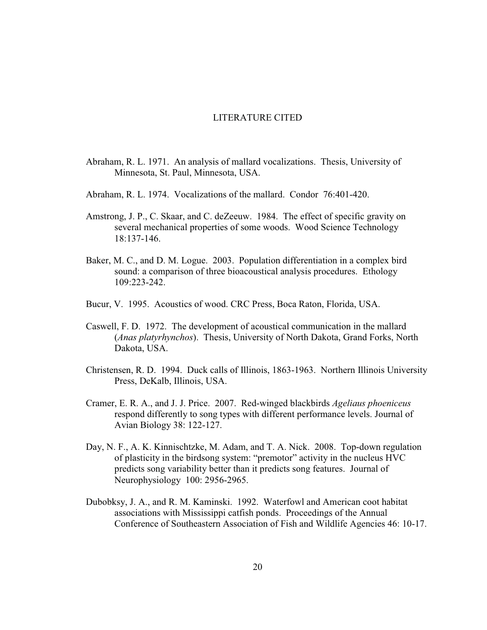#### LITERATURE CITED

- <span id="page-30-0"></span>Abraham, R. L. 1971. An analysis of mallard vocalizations. Thesis, University of Minnesota, St. Paul, Minnesota, USA.
- Abraham, R. L. 1974. Vocalizations of the mallard. Condor 76:401-420.
- several mechanical properties of some woods. Wood Science Technology Amstrong, J. P., C. Skaar, and C. deZeeuw. 1984. The effect of specific gravity on 18:137-146.
- Baker, M. C., and D. M. Logue. 2003. Population differentiation in a complex bird sound: a comparison of three bioacoustical analysis procedures. Ethology 109:223-242.
- Bucur, V. 1995. Acoustics of wood. CRC Press, Boca Raton, Florida, USA.
- Caswell, F. D. 1972. The development of acoustical communication in the mallard (*Anas platyrhynchos*). Thesis, University of North Dakota, Grand Forks, North Dakota, USA.
- Christensen, R. D. 1994. Duck calls of Illinois, 1863-1963. Northern Illinois University Press, DeKalb, Illinois, USA.
- Cramer, E. R. A., and J. J. Price. 2007. Red-winged blackbirds *Ageliaus phoeniceus*  respond differently to song types with different performance levels. Journal of Avian Biology 38: 122-127.
- Day, N. F., A. K. Kinnischtzke, M. Adam, and T. A. Nick. 2008. Top-down regulation of plasticity in the birdsong system: "premotor" activity in the nucleus HVC predicts song variability better than it predicts song features. Journal of Neurophysiology 100: 2956-2965.
- Dubobksy, J. A., and R. M. Kaminski. 1992. Waterfowl and American coot habitat associations with Mississippi catfish ponds. Proceedings of the Annual Conference of Southeastern Association of Fish and Wildlife Agencies 46: 10-17.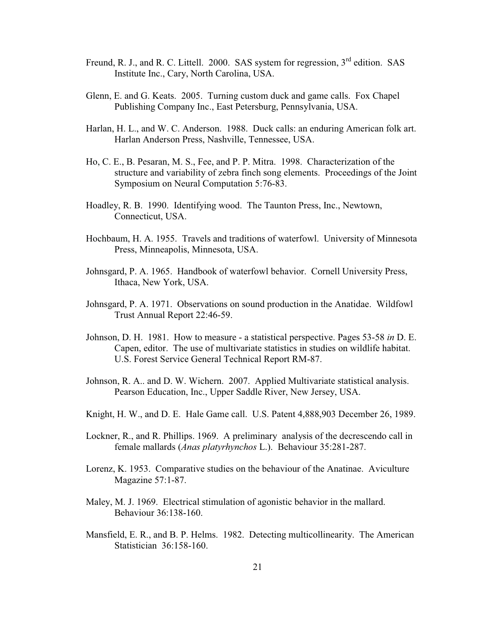- Freund, R. J., and R. C. Littell. 2000. SAS system for regression,  $3<sup>rd</sup>$  edition. SAS Institute Inc., Cary, North Carolina, USA.
- Glenn, E. and G. Keats. 2005. Turning custom duck and game calls. Fox Chapel Publishing Company Inc., East Petersburg, Pennsylvania, USA.
- Harlan, H. L., and W. C. Anderson. 1988. Duck calls: an enduring American folk art. Harlan Anderson Press, Nashville, Tennessee, USA.
- Ho, C. E., B. Pesaran, M. S., Fee, and P. P. Mitra. 1998. Characterization of the structure and variability of zebra finch song elements. Proceedings of the Joint Symposium on Neural Computation 5:76-83.
- Hoadley, R. B. 1990. Identifying wood. The Taunton Press, Inc., Newtown, Connecticut, USA.
- Hochbaum, H. A. 1955. Travels and traditions of waterfowl. University of Minnesota Press, Minneapolis, Minnesota, USA.
- Johnsgard, P. A. 1965. Handbook of waterfowl behavior. Cornell University Press, Ithaca, New York, USA.
- Johnsgard, P. A. 1971. Observations on sound production in the Anatidae. Wildfowl Trust Annual Report 22:46-59.
- Johnson, D. H. 1981. How to measure a statistical perspective. Pages 53-58 *in* D. E. Capen, editor. The use of multivariate statistics in studies on wildlife habitat. U.S. Forest Service General Technical Report RM-87.
- Johnson, R. A.. and D. W. Wichern. 2007. Applied Multivariate statistical analysis. Pearson Education, Inc., Upper Saddle River, New Jersey, USA.
- Knight, H. W., and D. E. Hale Game call. U.S. Patent 4,888,903 December 26, 1989.
- Lockner, R., and R. Phillips. 1969. A preliminary analysis of the decrescendo call in female mallards (*Anas platyrhynchos* L.). Behaviour 35:281-287.
- Lorenz, K. 1953. Comparative studies on the behaviour of the Anatinae. Aviculture Magazine 57:1-87.
- Maley, M. J. 1969. Electrical stimulation of agonistic behavior in the mallard. Behaviour 36:138-160.
- Mansfield, E. R., and B. P. Helms. 1982. Detecting multicollinearity. The American Statistician 36:158-160.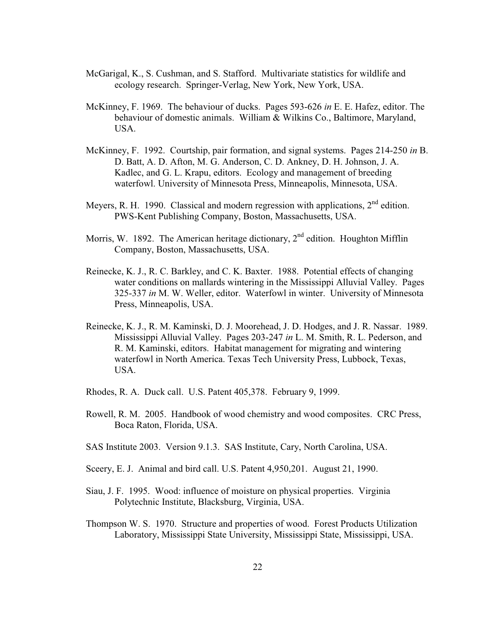- McGarigal, K., S. Cushman, and S. Stafford. Multivariate statistics for wildlife and ecology research. Springer-Verlag, New York, New York, USA.
- McKinney, F. 1969. The behaviour of ducks. Pages 593-626 *in* E. E. Hafez, editor. The behaviour of domestic animals. William & Wilkins Co., Baltimore, Maryland, USA.
- McKinney, F. 1992. Courtship, pair formation, and signal systems. Pages 214-250 *in* B. D. Batt, A. D. Afton, M. G. Anderson, C. D. Ankney, D. H. Johnson, J. A. Kadlec, and G. L. Krapu, editors. Ecology and management of breeding waterfowl. University of Minnesota Press, Minneapolis, Minnesota, USA.
- Meyers, R. H. 1990. Classical and modern regression with applications,  $2<sup>nd</sup>$  edition. PWS-Kent Publishing Company, Boston, Massachusetts, USA.
- Morris, W. 1892. The American heritage dictionary,  $2<sup>nd</sup>$  edition. Houghton Mifflin Company, Boston, Massachusetts, USA.
- water conditions on mallards wintering in the Mississippi Alluvial Valley. Pages Reinecke, K. J., R. C. Barkley, and C. K. Baxter. 1988. Potential effects of changing 325-337 *in* M. W. Weller, editor. Waterfowl in winter. University of Minnesota Press, Minneapolis, USA.
- Reinecke, K. J., R. M. Kaminski, D. J. Moorehead, J. D. Hodges, and J. R. Nassar. 1989. Mississippi Alluvial Valley. Pages 203-247 *in* L. M. Smith, R. L. Pederson, and R. M. Kaminski, editors. Habitat management for migrating and wintering waterfowl in North America. Texas Tech University Press, Lubbock, Texas, USA.
- Rhodes, R. A. Duck call. U.S. Patent 405,378. February 9, 1999.
- Rowell, R. M. 2005. Handbook of wood chemistry and wood composites. CRC Press, Boca Raton, Florida, USA.
- SAS Institute 2003. Version 9.1.3. SAS Institute, Cary, North Carolina, USA.
- Sceery, E. J. Animal and bird call. U.S. Patent 4,950,201. August 21, 1990.
- Siau, J. F. 1995. Wood: influence of moisture on physical properties. Virginia Polytechnic Institute, Blacksburg, Virginia, USA.
- Thompson W. S. 1970. Structure and properties of wood. Forest Products Utilization Laboratory, Mississippi State University, Mississippi State, Mississippi, USA.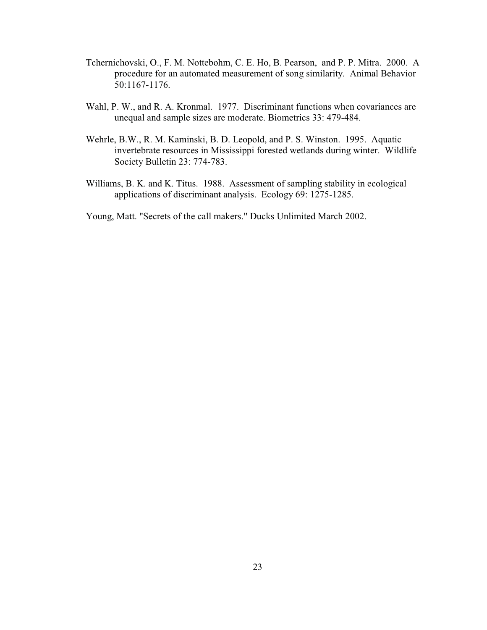- Tchernichovski, O., F. M. Nottebohm, C. E. Ho, B. Pearson, and P. P. Mitra. 2000. A procedure for an automated measurement of song similarity. Animal Behavior 50:1167-1176.
- Wahl, P. W., and R. A. Kronmal. 1977. Discriminant functions when covariances are unequal and sample sizes are moderate. Biometrics 33: 479-484.
- Wehrle, B.W., R. M. Kaminski, B. D. Leopold, and P. S. Winston. 1995. Aquatic invertebrate resources in Mississippi forested wetlands during winter. Wildlife Society Bulletin 23: 774-783.
- Williams, B. K. and K. Titus. 1988. Assessment of sampling stability in ecological applications of discriminant analysis. Ecology 69: 1275-1285.

Young, Matt. "Secrets of the call makers." Ducks Unlimited March 2002.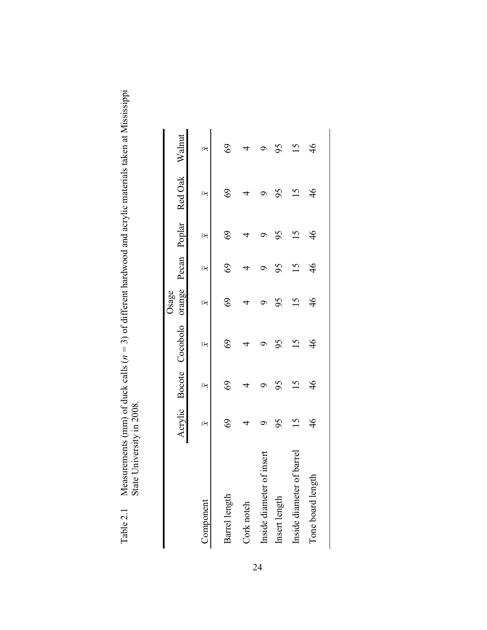| ardina and arriving matamale taken at Miss<br>י המה התמונות המה המה ה<br>ts (mm) of duck calls ( $n = 3$ ) of different hardw | $\sim$<br>i |
|-------------------------------------------------------------------------------------------------------------------------------|-------------|
| Alvasulvi.<br>Table $2_{.1}$                                                                                                  |             |
|                                                                                                                               |             |

| $\mathcal{S}$<br>95<br>$\overline{15}$<br>$\overline{\mathbf{x}}$<br>$\Im$<br>95<br>$\aleph$<br>$\Im$<br>95<br>$\mathsf{L}$<br>$\overline{\mathbf{x}}$<br>$\mathcal{Q}$<br>4<br>of insert<br>of barre.<br>Inside diameter<br>Inside diameter<br>Barrel length<br>Insert length<br>Component<br>Cork notch |  | Acrylic Bocote Cocobolo orange Pecan Poplar Red Oak Walnut | Osage                   |                 |                         |               |                         |
|-----------------------------------------------------------------------------------------------------------------------------------------------------------------------------------------------------------------------------------------------------------------------------------------------------------|--|------------------------------------------------------------|-------------------------|-----------------|-------------------------|---------------|-------------------------|
|                                                                                                                                                                                                                                                                                                           |  |                                                            | $\overline{\mathbf{x}}$ | $\aleph$        | $\overline{\mathbf{x}}$ | $\aleph$      | $\overline{\mathbf{x}}$ |
|                                                                                                                                                                                                                                                                                                           |  |                                                            | 69                      | $\mathcal{S}$   | 69                      | $\Im$         | 69                      |
|                                                                                                                                                                                                                                                                                                           |  |                                                            |                         |                 |                         |               |                         |
|                                                                                                                                                                                                                                                                                                           |  |                                                            |                         |                 |                         |               | ᢦ                       |
|                                                                                                                                                                                                                                                                                                           |  |                                                            | 95                      | 95              | 56                      | 95            | 95                      |
|                                                                                                                                                                                                                                                                                                           |  |                                                            |                         | $\overline{15}$ |                         | 51            |                         |
| $\frac{4}{6}$<br>$\frac{4}{6}$<br>$\frac{4}{6}$<br>g<br>Tone board lengt                                                                                                                                                                                                                                  |  |                                                            | $\frac{4}{6}$           | $\frac{4}{6}$   | $\frac{4}{6}$           | $\frac{4}{6}$ | $\frac{4}{6}$           |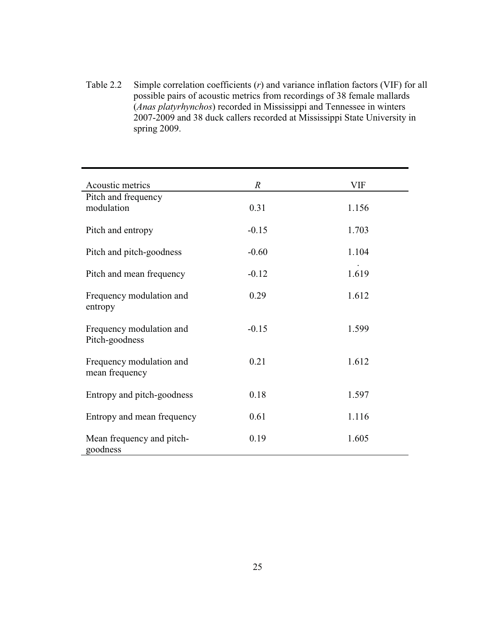Table 2.2 Simple correlation coefficients (*r*) and variance inflation factors (VIF) for all possible pairs of acoustic metrics from recordings of 38 female mallards (*Anas platyrhynchos*) recorded in Mississippi and Tennessee in winters 2007-2009 and 38 duck callers recorded at Mississippi State University in spring 2009.

| Acoustic metrics                           | $\boldsymbol{R}$ | <b>VIF</b> |
|--------------------------------------------|------------------|------------|
| Pitch and frequency<br>modulation          | 0.31             | 1.156      |
| Pitch and entropy                          | $-0.15$          | 1.703      |
| Pitch and pitch-goodness                   | $-0.60$          | 1.104      |
| Pitch and mean frequency                   | $-0.12$          | 1.619      |
| Frequency modulation and<br>entropy        | 0.29             | 1.612      |
| Frequency modulation and<br>Pitch-goodness | $-0.15$          | 1.599      |
| Frequency modulation and<br>mean frequency | 0.21             | 1.612      |
| Entropy and pitch-goodness                 | 0.18             | 1.597      |
| Entropy and mean frequency                 | 0.61             | 1.116      |
| Mean frequency and pitch-<br>goodness      | 0.19             | 1.605      |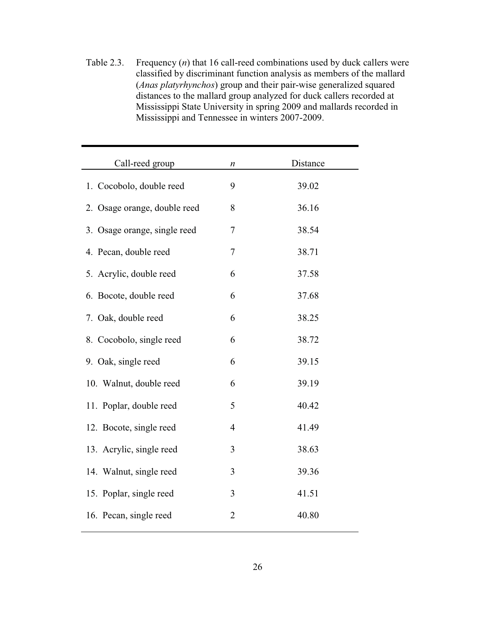Table 2.3. Frequency (*n*) that 16 call-reed combinations used by duck callers were classified by discriminant function analysis as members of the mallard (*Anas platyrhynchos*) group and their pair-wise generalized squared distances to the mallard group analyzed for duck callers recorded at Mississippi State University in spring 2009 and mallards recorded in Mississippi and Tennessee in winters 2007-2009.

| Call-reed group              | n                | Distance |
|------------------------------|------------------|----------|
| 1. Cocobolo, double reed     | 9                | 39.02    |
| 2. Osage orange, double reed | 8                | 36.16    |
| 3. Osage orange, single reed | $\boldsymbol{7}$ | 38.54    |
| 4. Pecan, double reed        | 7                | 38.71    |
| 5. Acrylic, double reed      | 6                | 37.58    |
| 6. Bocote, double reed       | 6                | 37.68    |
| 7. Oak, double reed          | 6                | 38.25    |
| 8. Cocobolo, single reed     | 6                | 38.72    |
| 9. Oak, single reed          | 6                | 39.15    |
| 10. Walnut, double reed      | 6                | 39.19    |
| 11. Poplar, double reed      | 5                | 40.42    |
| 12. Bocote, single reed      | $\overline{4}$   | 41.49    |
| 13. Acrylic, single reed     | 3                | 38.63    |
| 14. Walnut, single reed      | 3                | 39.36    |
| 15. Poplar, single reed      | 3                | 41.51    |
| 16. Pecan, single reed       | $\overline{c}$   | 40.80    |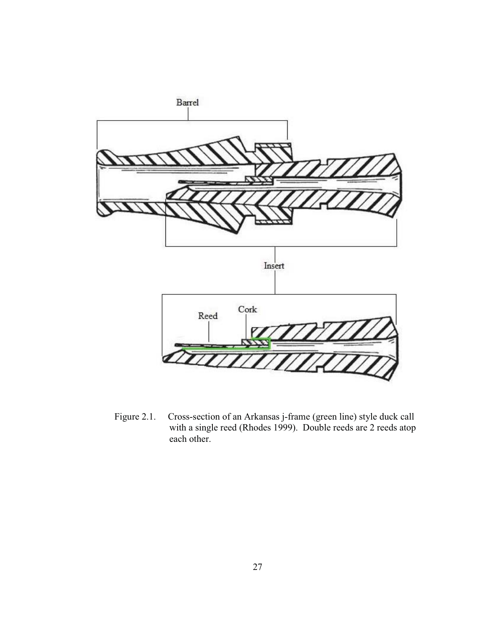

Figure 2.1. Cross-section of an Arkansas j-frame (green line) style duck call with a single reed (Rhodes 1999). Double reeds are 2 reeds atop each other.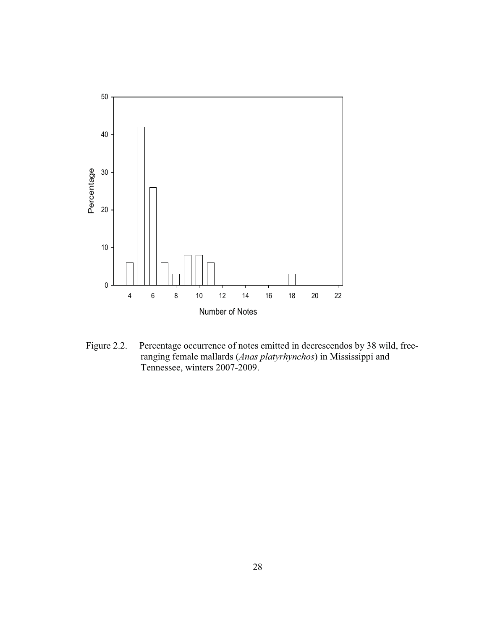

Figure 2.2. Percentage occurrence of notes emitted in decrescendos by 38 wild, freeranging female mallards (*Anas platyrhynchos*) in Mississippi and Tennessee, winters 2007-2009.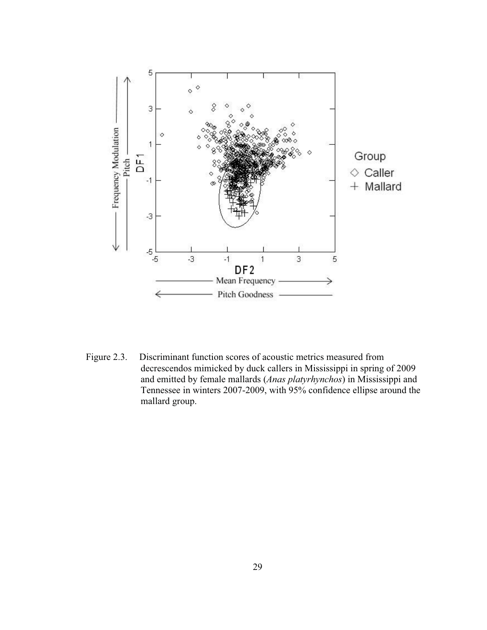

Figure 2.3. Discriminant function scores of acoustic metrics measured from decrescendos mimicked by duck callers in Mississippi in spring of 2009 and emitted by female mallards (*Anas platyrhynchos*) in Mississippi and Tennessee in winters 2007-2009, with 95% confidence ellipse around the mallard group.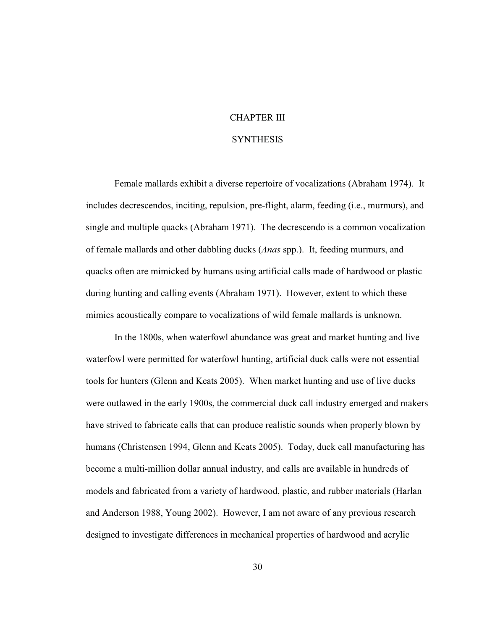### CHAPTER III

#### **SYNTHESIS**

<span id="page-40-0"></span>Female mallards exhibit a diverse repertoire of vocalizations (Abraham 1974). It includes decrescendos, inciting, repulsion, pre-flight, alarm, feeding (i.e., murmurs), and single and multiple quacks (Abraham 1971). The decrescendo is a common vocalization of female mallards and other dabbling ducks (*Anas* spp.). It, feeding murmurs, and quacks often are mimicked by humans using artificial calls made of hardwood or plastic during hunting and calling events (Abraham 1971). However, extent to which these mimics acoustically compare to vocalizations of wild female mallards is unknown.

In the 1800s, when waterfowl abundance was great and market hunting and live waterfowl were permitted for waterfowl hunting, artificial duck calls were not essential tools for hunters (Glenn and Keats 2005). When market hunting and use of live ducks were outlawed in the early 1900s, the commercial duck call industry emerged and makers have strived to fabricate calls that can produce realistic sounds when properly blown by humans (Christensen 1994, Glenn and Keats 2005). Today, duck call manufacturing has become a multi-million dollar annual industry, and calls are available in hundreds of models and fabricated from a variety of hardwood, plastic, and rubber materials (Harlan and Anderson 1988, Young 2002). However, I am not aware of any previous research designed to investigate differences in mechanical properties of hardwood and acrylic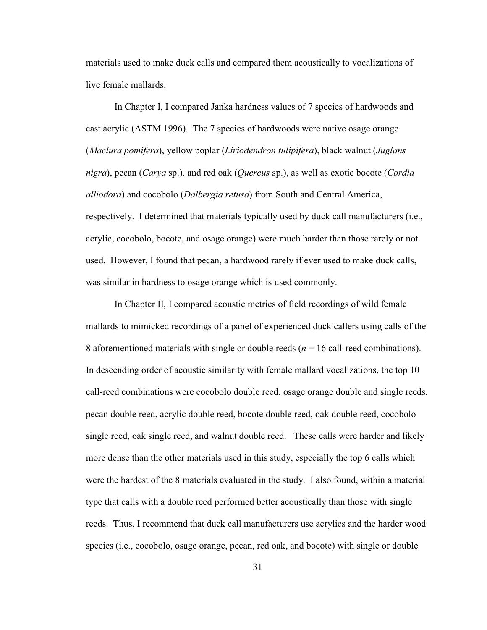materials used to make duck calls and compared them acoustically to vocalizations of live female mallards.

 In Chapter I, I compared Janka hardness values of 7 species of hardwoods and respectively. I determined that materials typically used by duck call manufacturers (i.e., was similar in hardness to osage orange which is used commonly. cast acrylic (ASTM 1996). The 7 species of hardwoods were native osage orange (*Maclura pomifera*), yellow poplar (*Liriodendron tulipifera*), black walnut (*Juglans nigra*), pecan (*Carya* sp.)*,* and red oak (*Quercus* sp.), as well as exotic bocote (*Cordia alliodora*) and cocobolo (*Dalbergia retusa*) from South and Central America, acrylic, cocobolo, bocote, and osage orange) were much harder than those rarely or not used. However, I found that pecan, a hardwood rarely if ever used to make duck calls,

 were the hardest of the 8 materials evaluated in the study. I also found, within a material In Chapter II, I compared acoustic metrics of field recordings of wild female mallards to mimicked recordings of a panel of experienced duck callers using calls of the 8 aforementioned materials with single or double reeds (*n* = 16 call-reed combinations). In descending order of acoustic similarity with female mallard vocalizations, the top 10 call-reed combinations were cocobolo double reed, osage orange double and single reeds, pecan double reed, acrylic double reed, bocote double reed, oak double reed, cocobolo single reed, oak single reed, and walnut double reed. These calls were harder and likely more dense than the other materials used in this study, especially the top 6 calls which type that calls with a double reed performed better acoustically than those with single reeds. Thus, I recommend that duck call manufacturers use acrylics and the harder wood species (i.e., cocobolo, osage orange, pecan, red oak, and bocote) with single or double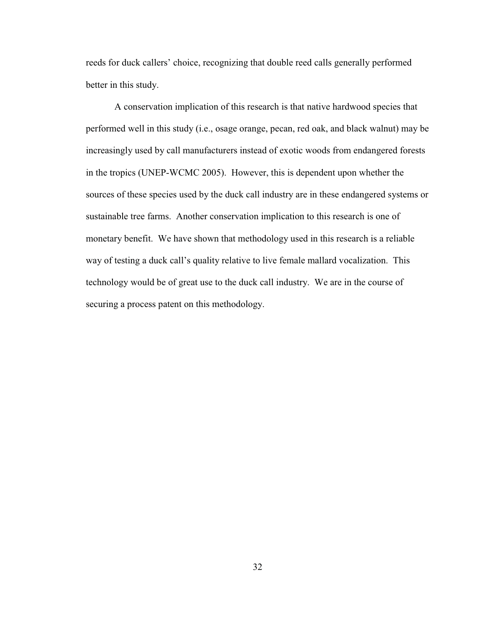reeds for duck callers' choice, recognizing that double reed calls generally performed better in this study.

A conservation implication of this research is that native hardwood species that performed well in this study (i.e., osage orange, pecan, red oak, and black walnut) may be increasingly used by call manufacturers instead of exotic woods from endangered forests in the tropics (UNEP-WCMC 2005). However, this is dependent upon whether the sources of these species used by the duck call industry are in these endangered systems or sustainable tree farms. Another conservation implication to this research is one of monetary benefit. We have shown that methodology used in this research is a reliable way of testing a duck call's quality relative to live female mallard vocalization. This technology would be of great use to the duck call industry. We are in the course of securing a process patent on this methodology.